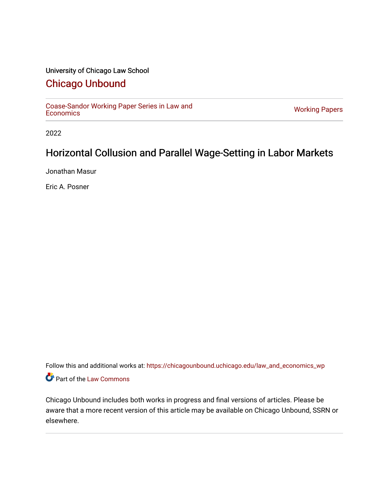## University of Chicago Law School

## [Chicago Unbound](https://chicagounbound.uchicago.edu/)

[Coase-Sandor Working Paper Series in Law and](https://chicagounbound.uchicago.edu/law_and_economics_wp) [Economics](https://chicagounbound.uchicago.edu/law_and_economics_wp) [Working Papers](https://chicagounbound.uchicago.edu/working_papers) 

2022

# Horizontal Collusion and Parallel Wage-Setting in Labor Markets

Jonathan Masur

Eric A. Posner

Follow this and additional works at: [https://chicagounbound.uchicago.edu/law\\_and\\_economics\\_wp](https://chicagounbound.uchicago.edu/law_and_economics_wp?utm_source=chicagounbound.uchicago.edu%2Flaw_and_economics_wp%2F73&utm_medium=PDF&utm_campaign=PDFCoverPages)  Part of the [Law Commons](http://network.bepress.com/hgg/discipline/578?utm_source=chicagounbound.uchicago.edu%2Flaw_and_economics_wp%2F73&utm_medium=PDF&utm_campaign=PDFCoverPages)

Chicago Unbound includes both works in progress and final versions of articles. Please be aware that a more recent version of this article may be available on Chicago Unbound, SSRN or elsewhere.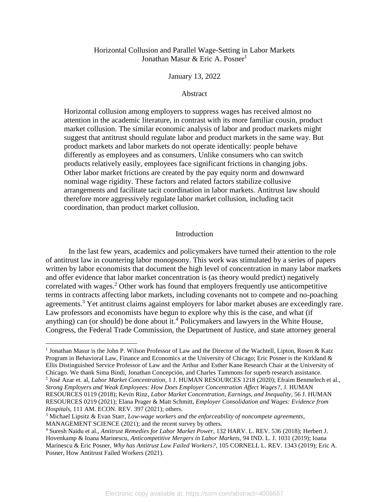## Horizontal Collusion and Parallel Wage-Setting in Labor Markets Jonathan Masur & Eric A. Posner<sup>1</sup>

### January 13, 2022

## Abstract

Horizontal collusion among employers to suppress wages has received almost no attention in the academic literature, in contrast with its more familiar cousin, product market collusion. The similar economic analysis of labor and product markets might suggest that antitrust should regulate labor and product markets in the same way. But product markets and labor markets do not operate identically: people behave differently as employees and as consumers. Unlike consumers who can switch products relatively easily, employees face significant frictions in changing jobs. Other labor market frictions are created by the pay equity norm and downward nominal wage rigidity. These factors and related factors stabilize collusive arrangements and facilitate tacit coordination in labor markets. Antitrust law should therefore more aggressively regulate labor market collusion, including tacit coordination, than product market collusion.

#### Introduction

In the last few years, academics and policymakers have turned their attention to the role of antitrust law in countering labor monopsony. This work was stimulated by a series of papers written by labor economists that document the high level of concentration in many labor markets and offer evidence that labor market concentration is (as theory would predict) negatively correlated with wages.<sup>2</sup> Other work has found that employers frequently use anticompetitive terms in contracts affecting labor markets, including covenants not to compete and no-poaching agreements.<sup>3</sup> Yet antitrust claims against employers for labor market abuses are exceedingly rare. Law professors and economists have begun to explore why this is the case, and what (if anything) can (or should) be done about it.<sup>4</sup> Policymakers and lawyers in the White House, Congress, the Federal Trade Commission, the Department of Justice, and state attorney general

2 José Azar et. al, *Labor Market Concentration*, 1 J. HUMAN RESOURCES 1218 (2020); Efraim Benmelech et al., *Strong Employers and Weak Employees: How Does Employer Concentration Affect Wages?*, J. HUMAN RESOURCES 0119 (2018); Kevin Rinz, *Labor Market Concentration, Earnings, and Inequality*, 56 J. HUMAN RESOURCES 0219 (2021); Elana Prager & Matt Schmitt, *Employer Consolidation and Wages: Evidence from Hospitals*, 111 AM. ECON. REV. 397 (2021); others.

<sup>&</sup>lt;sup>1</sup> Jonathan Masur is the John P. Wilson Professor of Law and the Director of the Wachtell, Lipton, Rosen & Katz Program in Behavioral Law, Finance and Economics at the University of Chicago; Eric Posner is the Kirkland & Ellis Distinguished Service Professor of Law and the Arthur and Esther Kane Research Chair at the University of Chicago. We thank Sima Bindi, Jonathan Concepción, and Charles Tammons for superb research assistance.

<sup>3</sup> Michael Lipsitz & Evan Starr, *Low-wage workers and the enforceability of noncompete agreements*, MANAGEMENT SCIENCE (2021); and the recent survey by others.

<sup>4</sup> Suresh Naidu et al., *Antitrust Remedies for Labor Market Power*, 132 HARV. L. REV. 536 (2018); Herbert J. Hovenkamp & Ioana Marinescu, *Anticompetitive Mergers in Labor Markets*, 94 IND. L. J. 1031 (2019); Ioana Marinescu & Eric Posner, *Why has Antitrust Law Failed Workers?*, 105 CORNELL L. REV. 1343 (2019); Eric A. Posner, How Antitrust Failed Workers (2021).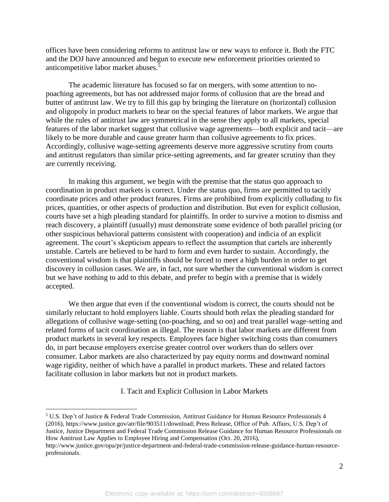offices have been considering reforms to antitrust law or new ways to enforce it. Both the FTC and the DOJ have announced and begun to execute new enforcement priorities oriented to anticompetitive labor market abuses.<sup>5</sup>

The academic literature has focused so far on mergers, with some attention to nopoaching agreements, but has not addressed major forms of collusion that are the bread and butter of antitrust law. We try to fill this gap by bringing the literature on (horizontal) collusion and oligopoly in product markets to bear on the special features of labor markets. We argue that while the rules of antitrust law are symmetrical in the sense they apply to all markets, special features of the labor market suggest that collusive wage agreements—both explicit and tacit—are likely to be more durable and cause greater harm than collusive agreements to fix prices. Accordingly, collusive wage-setting agreements deserve more aggressive scrutiny from courts and antitrust regulators than similar price-setting agreements, and far greater scrutiny than they are currently receiving.

In making this argument, we begin with the premise that the status quo approach to coordination in product markets is correct. Under the status quo, firms are permitted to tacitly coordinate prices and other product features. Firms are prohibited from explicitly colluding to fix prices, quantities, or other aspects of production and distribution. But even for explicit collusion, courts have set a high pleading standard for plaintiffs. In order to survive a motion to dismiss and reach discovery, a plaintiff (usually) must demonstrate some evidence of both parallel pricing (or other suspicious behavioral patterns consistent with cooperation) and indicia of an explicit agreement. The court's skepticism appears to reflect the assumption that cartels are inherently unstable. Cartels are believed to be hard to form and even harder to sustain. Accordingly, the conventional wisdom is that plaintiffs should be forced to meet a high burden in order to get discovery in collusion cases. We are, in fact, not sure whether the conventional wisdom is correct but we have nothing to add to this debate, and prefer to begin with a premise that is widely accepted.

We then argue that even if the conventional wisdom is correct, the courts should not be similarly reluctant to hold employers liable. Courts should both relax the pleading standard for allegations of collusive wage-setting (no-poaching, and so on) and treat parallel wage-setting and related forms of tacit coordination as illegal. The reason is that labor markets are different from product markets in several key respects. Employees face higher switching costs than consumers do, in part because employers exercise greater control over workers than do sellers over consumer. Labor markets are also characterized by pay equity norms and downward nominal wage rigidity, neither of which have a parallel in product markets. These and related factors facilitate collusion in labor markets but not in product markets.

I. Tacit and Explicit Collusion in Labor Markets

<sup>5</sup> U.S. Dep't of Justice & Federal Trade Commission, Antitrust Guidance for Human Resource Professionals 4 (2016), https://www.justice.gov/atr/file/903511/download; Press Release, Office of Pub. Affairs, U.S. Dep't of Justice, Justice Department and Federal Trade Commission Release Guidance for Human Resource Professionals on How Antitrust Law Applies to Employee Hiring and Compensation (Oct. 20, 2016),

http://www.justice.gov/opa/pr/justice-department-and-federal-trade-commission-release-guidance-human-resourceprofessionals.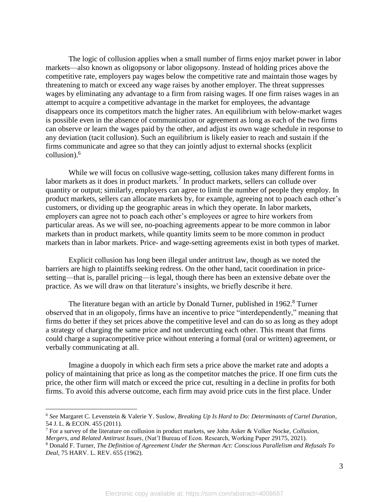The logic of collusion applies when a small number of firms enjoy market power in labor markets—also known as oligopsony or labor oligopsony. Instead of holding prices above the competitive rate, employers pay wages below the competitive rate and maintain those wages by threatening to match or exceed any wage raises by another employer. The threat suppresses wages by eliminating any advantage to a firm from raising wages. If one firm raises wages in an attempt to acquire a competitive advantage in the market for employees, the advantage disappears once its competitors match the higher rates. An equilibrium with below-market wages is possible even in the absence of communication or agreement as long as each of the two firms can observe or learn the wages paid by the other, and adjust its own wage schedule in response to any deviation (tacit collusion). Such an equilibrium is likely easier to reach and sustain if the firms communicate and agree so that they can jointly adjust to external shocks (explicit collusion). 6

While we will focus on collusive wage-setting, collusion takes many different forms in labor markets as it does in product markets.<sup>7</sup> In product markets, sellers can collude over quantity or output; similarly, employers can agree to limit the number of people they employ. In product markets, sellers can allocate markets by, for example, agreeing not to poach each other's customers, or dividing up the geographic areas in which they operate. In labor markets, employers can agree not to poach each other's employees or agree to hire workers from particular areas. As we will see, no-poaching agreements appear to be more common in labor markets than in product markets, while quantity limits seem to be more common in product markets than in labor markets. Price- and wage-setting agreements exist in both types of market.

Explicit collusion has long been illegal under antitrust law, though as we noted the barriers are high to plaintiffs seeking redress. On the other hand, tacit coordination in pricesetting—that is, parallel pricing—is legal, though there has been an extensive debate over the practice. As we will draw on that literature's insights, we briefly describe it here.

The literature began with an article by Donald Turner, published in  $1962<sup>8</sup>$  Turner observed that in an oligopoly, firms have an incentive to price "interdependently," meaning that firms do better if they set prices above the competitive level and can do so as long as they adopt a strategy of charging the same price and not undercutting each other. This meant that firms could charge a supracompetitive price without entering a formal (oral or written) agreement, or verbally communicating at all.

Imagine a duopoly in which each firm sets a price above the market rate and adopts a policy of maintaining that price as long as the competitor matches the price. If one firm cuts the price, the other firm will match or exceed the price cut, resulting in a decline in profits for both firms. To avoid this adverse outcome, each firm may avoid price cuts in the first place. Under

<sup>6</sup> *See* Margaret C. Levenstein & Valerie Y. Suslow, *Breaking Up Is Hard to Do: Determinants of Cartel Duration*, 54 J. L. & ECON. 455 (2011).

<sup>7</sup> For a survey of the literature on collusion in product markets, see John Asker & Volker Nocke, *Collusion, Mergers, and Related Antitrust Issues*, (Nat'l Bureau of Econ. Research, Working Paper 29175, 2021).

<sup>8</sup> Donald F. Turner, *The Definition of Agreement Under the Sherman Act: Conscious Parallelism and Refusals To Deal*, 75 HARV. L. REV. 655 (1962).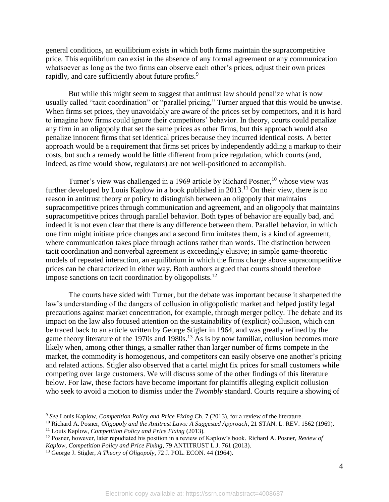general conditions, an equilibrium exists in which both firms maintain the supracompetitive price. This equilibrium can exist in the absence of any formal agreement or any communication whatsoever as long as the two firms can observe each other's prices, adjust their own prices rapidly, and care sufficiently about future profits.<sup>9</sup>

But while this might seem to suggest that antitrust law should penalize what is now usually called "tacit coordination" or "parallel pricing," Turner argued that this would be unwise. When firms set prices, they unavoidably are aware of the prices set by competitors, and it is hard to imagine how firms could ignore their competitors' behavior. In theory, courts could penalize any firm in an oligopoly that set the same prices as other firms, but this approach would also penalize innocent firms that set identical prices because they incurred identical costs. A better approach would be a requirement that firms set prices by independently adding a markup to their costs, but such a remedy would be little different from price regulation, which courts (and, indeed, as time would show, regulators) are not well-positioned to accomplish.

Turner's view was challenged in a 1969 article by Richard Posner,  $10$  whose view was further developed by Louis Kaplow in a book published in  $2013$ .<sup>11</sup> On their view, there is no reason in antitrust theory or policy to distinguish between an oligopoly that maintains supracompetitive prices through communication and agreement, and an oligopoly that maintains supracompetitive prices through parallel behavior. Both types of behavior are equally bad, and indeed it is not even clear that there is any difference between them. Parallel behavior, in which one firm might initiate price changes and a second firm imitates them, is a kind of agreement, where communication takes place through actions rather than words. The distinction between tacit coordination and nonverbal agreement is exceedingly elusive; in simple game-theoretic models of repeated interaction, an equilibrium in which the firms charge above supracompetitive prices can be characterized in either way. Both authors argued that courts should therefore impose sanctions on tacit coordination by oligopolists.<sup>12</sup>

The courts have sided with Turner, but the debate was important because it sharpened the law's understanding of the dangers of collusion in oligopolistic market and helped justify legal precautions against market concentration, for example, through merger policy. The debate and its impact on the law also focused attention on the sustainability of (explicit) collusion, which can be traced back to an article written by George Stigler in 1964, and was greatly refined by the game theory literature of the 1970s and 1980s.<sup>13</sup> As is by now familiar, collusion becomes more likely when, among other things, a smaller rather than larger number of firms compete in the market, the commodity is homogenous, and competitors can easily observe one another's pricing and related actions. Stigler also observed that a cartel might fix prices for small customers while competing over large customers. We will discuss some of the other findings of this literature below. For law, these factors have become important for plaintiffs alleging explicit collusion who seek to avoid a motion to dismiss under the *Twombly* standard. Courts require a showing of

<sup>9</sup> *See* Louis Kaplow, *Competition Policy and Price Fixing* Ch. 7 (2013), for a review of the literature.

<sup>&</sup>lt;sup>10</sup> Richard A. Posner, *Oligopoly and the Antitrust Laws: A Suggested Approach*, 21 STAN. L. REV. 1562 (1969). <sup>11</sup> Louis Kaplow, *Competition Policy and Price Fixing* (2013).

<sup>12</sup> Posner, however, later repudiated his position in a review of Kaplow's book. Richard A. Posner, *Review of Kaplow, Competition Policy and Price Fixing*, 79 ANTITRUST L.J. 761 (2013).

<sup>13</sup> George J. Stigler, *A Theory of Oligopoly*, 72 J. POL. ECON. 44 (1964).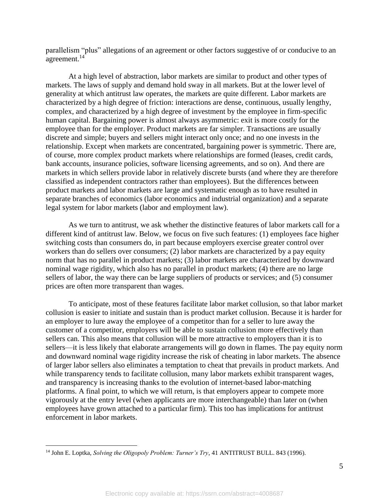parallelism "plus" allegations of an agreement or other factors suggestive of or conducive to an agreement.<sup>14</sup>

At a high level of abstraction, labor markets are similar to product and other types of markets. The laws of supply and demand hold sway in all markets. But at the lower level of generality at which antitrust law operates, the markets are quite different. Labor markets are characterized by a high degree of friction: interactions are dense, continuous, usually lengthy, complex, and characterized by a high degree of investment by the employee in firm-specific human capital. Bargaining power is almost always asymmetric: exit is more costly for the employee than for the employer. Product markets are far simpler. Transactions are usually discrete and simple; buyers and sellers might interact only once; and no one invests in the relationship. Except when markets are concentrated, bargaining power is symmetric. There are, of course, more complex product markets where relationships are formed (leases, credit cards, bank accounts, insurance policies, software licensing agreements, and so on). And there are markets in which sellers provide labor in relatively discrete bursts (and where they are therefore classified as independent contractors rather than employees). But the differences between product markets and labor markets are large and systematic enough as to have resulted in separate branches of economics (labor economics and industrial organization) and a separate legal system for labor markets (labor and employment law).

As we turn to antitrust, we ask whether the distinctive features of labor markets call for a different kind of antitrust law. Below, we focus on five such features: (1) employees face higher switching costs than consumers do, in part because employers exercise greater control over workers than do sellers over consumers; (2) labor markets are characterized by a pay equity norm that has no parallel in product markets; (3) labor markets are characterized by downward nominal wage rigidity, which also has no parallel in product markets; (4) there are no large sellers of labor, the way there can be large suppliers of products or services; and (5) consumer prices are often more transparent than wages.

To anticipate, most of these features facilitate labor market collusion, so that labor market collusion is easier to initiate and sustain than is product market collusion. Because it is harder for an employer to lure away the employee of a competitor than for a seller to lure away the customer of a competitor, employers will be able to sustain collusion more effectively than sellers can. This also means that collusion will be more attractive to employers than it is to sellers—it is less likely that elaborate arrangements will go down in flames. The pay equity norm and downward nominal wage rigidity increase the risk of cheating in labor markets. The absence of larger labor sellers also eliminates a temptation to cheat that prevails in product markets. And while transparency tends to facilitate collusion, many labor markets exhibit transparent wages, and transparency is increasing thanks to the evolution of internet-based labor-matching platforms. A final point, to which we will return, is that employers appear to compete more vigorously at the entry level (when applicants are more interchangeable) than later on (when employees have grown attached to a particular firm). This too has implications for antitrust enforcement in labor markets.

<sup>14</sup> John E. Loptka, *Solving the Oligopoly Problem: Turner's Try*, 41 ANTITRUST BULL. 843 (1996).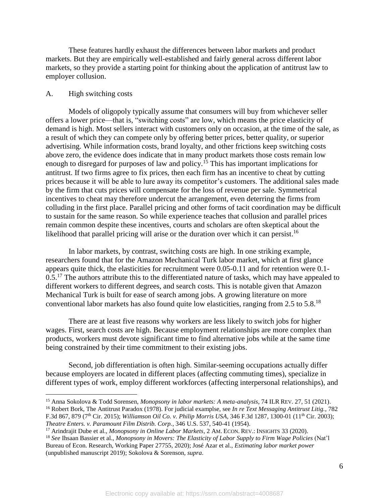These features hardly exhaust the differences between labor markets and product markets. But they are empirically well-established and fairly general across different labor markets, so they provide a starting point for thinking about the application of antitrust law to employer collusion.

### A. High switching costs

 $\overline{a}$ 

Models of oligopoly typically assume that consumers will buy from whichever seller offers a lower price—that is, "switching costs" are low, which means the price elasticity of demand is high. Most sellers interact with customers only on occasion, at the time of the sale, as a result of which they can compete only by offering better prices, better quality, or superior advertising. While information costs, brand loyalty, and other frictions keep switching costs above zero, the evidence does indicate that in many product markets those costs remain low enough to disregard for purposes of law and policy.<sup>15</sup> This has important implications for antitrust. If two firms agree to fix prices, then each firm has an incentive to cheat by cutting prices because it will be able to lure away its competitor's customers. The additional sales made by the firm that cuts prices will compensate for the loss of revenue per sale. Symmetrical incentives to cheat may therefore undercut the arrangement, even deterring the firms from colluding in the first place. Parallel pricing and other forms of tacit coordination may be difficult to sustain for the same reason. So while experience teaches that collusion and parallel prices remain common despite these incentives, courts and scholars are often skeptical about the likelihood that parallel pricing will arise or the duration over which it can persist.<sup>16</sup>

In labor markets, by contrast, switching costs are high. In one striking example, researchers found that for the Amazon Mechanical Turk labor market, which at first glance appears quite thick, the elasticities for recruitment were 0.05-0.11 and for retention were 0.1-  $0.5$ .<sup>17</sup> The authors attribute this to the differentiated nature of tasks, which may have appealed to different workers to different degrees, and search costs. This is notable given that Amazon Mechanical Turk is built for ease of search among jobs. A growing literature on more conventional labor markets has also found quite low elasticities, ranging from 2.5 to 5.8.<sup>18</sup>

There are at least five reasons why workers are less likely to switch jobs for higher wages. First, search costs are high. Because employment relationships are more complex than products, workers must devote significant time to find alternative jobs while at the same time being constrained by their time commitment to their existing jobs.

Second, job differentiation is often high. Similar-seeming occupations actually differ because employers are located in different places (affecting commuting times), specialize in different types of work, employ different workforces (affecting interpersonal relationships), and

<sup>15</sup> Anna Sokolova & Todd Sorensen, *Monopsony in labor markets: A meta-analysis*, 74 ILR REV. 27, 51 (2021). <sup>16</sup> Robert Bork, The Antitrust Paradox (1978). For judicial examplse, see *In re Text Messaging Antitrust Litig.*, 782 F.3d 867, 879 (7th Cir. 2015); *Williamson Oil Co. v. Philip Morris USA*, 346 F.3d 1287, 1300-01 (11th Cir. 2003); *Theatre Enters. v. Paramount Film Distrib. Corp.*, 346 U.S. 537, 540-41 (1954).

<sup>17</sup> Arindrajit Dube et al., *Monopsony in Online Labor Markets*, 2 AM. ECON. REV.: INSIGHTS 33 (2020).

<sup>18</sup> *See* Ihsaan Bassier et al., *Monopsony in Movers: The Elasticity of Labor Supply to Firm Wage Policies* (Nat'l Bureau of Econ. Research, Working Paper 27755, 2020); José Azar et al., *Estimating labor market power* (unpublished manuscript 2019); Sokolova & Sorenson, *supra*.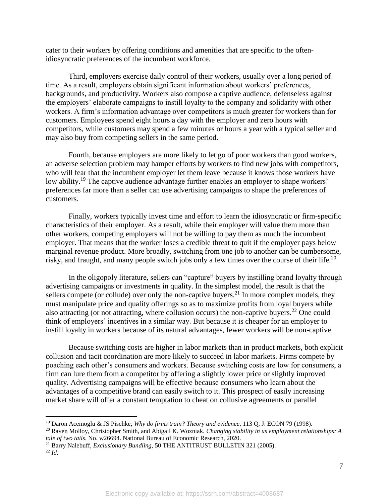cater to their workers by offering conditions and amenities that are specific to the oftenidiosyncratic preferences of the incumbent workforce.

Third, employers exercise daily control of their workers, usually over a long period of time. As a result, employers obtain significant information about workers' preferences, backgrounds, and productivity. Workers also compose a captive audience, defenseless against the employers' elaborate campaigns to instill loyalty to the company and solidarity with other workers. A firm's information advantage over competitors is much greater for workers than for customers. Employees spend eight hours a day with the employer and zero hours with competitors, while customers may spend a few minutes or hours a year with a typical seller and may also buy from competing sellers in the same period.

Fourth, because employers are more likely to let go of poor workers than good workers, an adverse selection problem may hamper efforts by workers to find new jobs with competitors, who will fear that the incumbent employer let them leave because it knows those workers have low ability.<sup>19</sup> The captive audience advantage further enables an employer to shape workers' preferences far more than a seller can use advertising campaigns to shape the preferences of customers.

Finally, workers typically invest time and effort to learn the idiosyncratic or firm-specific characteristics of their employer. As a result, while their employer will value them more than other workers, competing employers will not be willing to pay them as much the incumbent employer. That means that the worker loses a credible threat to quit if the employer pays below marginal revenue product. More broadly, switching from one job to another can be cumbersome, risky, and fraught, and many people switch jobs only a few times over the course of their life.<sup>20</sup>

In the oligopoly literature, sellers can "capture" buyers by instilling brand loyalty through advertising campaigns or investments in quality. In the simplest model, the result is that the sellers compete (or collude) over only the non-captive buyers.<sup>21</sup> In more complex models, they must manipulate price and quality offerings so as to maximize profits from loyal buyers while also attracting (or not attracting, where collusion occurs) the non-captive buyers.<sup>22</sup> One could think of employers' incentives in a similar way. But because it is cheaper for an employer to instill loyalty in workers because of its natural advantages, fewer workers will be non-captive.

Because switching costs are higher in labor markets than in product markets, both explicit collusion and tacit coordination are more likely to succeed in labor markets. Firms compete by poaching each other's consumers and workers. Because switching costs are low for consumers, a firm can lure them from a competitor by offering a slightly lower price or slightly improved quality. Advertising campaigns will be effective because consumers who learn about the advantages of a competitive brand can easily switch to it. This prospect of easily increasing market share will offer a constant temptation to cheat on collusive agreements or parallel

<sup>19</sup> Daron Acemoglu & JS Pischke, *Why do firms train? Theory and evidence*, 113 Q. J. ECON 79 (1998).

<sup>20</sup> Raven Molloy, Christopher Smith, and Abigail K. Wozniak. *Changing stability in us employment relationships: A tale of two tails*. No. w26694. National Bureau of Economic Research, 2020.

<sup>21</sup> Barry Nalebuff, *Exclusionary Bundling*, 50 THE ANTITRUST BULLETIN 321 (2005).

<sup>22</sup> *Id*.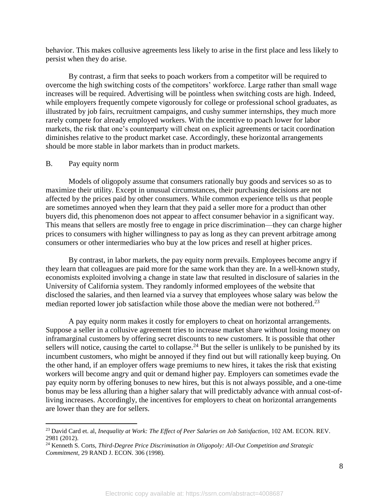behavior. This makes collusive agreements less likely to arise in the first place and less likely to persist when they do arise.

By contrast, a firm that seeks to poach workers from a competitor will be required to overcome the high switching costs of the competitors' workforce. Large rather than small wage increases will be required. Advertising will be pointless when switching costs are high. Indeed, while employers frequently compete vigorously for college or professional school graduates, as illustrated by job fairs, recruitment campaigns, and cushy summer internships, they much more rarely compete for already employed workers. With the incentive to poach lower for labor markets, the risk that one's counterparty will cheat on explicit agreements or tacit coordination diminishes relative to the product market case. Accordingly, these horizontal arrangements should be more stable in labor markets than in product markets.

## B. Pay equity norm

 $\overline{a}$ 

Models of oligopoly assume that consumers rationally buy goods and services so as to maximize their utility. Except in unusual circumstances, their purchasing decisions are not affected by the prices paid by other consumers. While common experience tells us that people are sometimes annoyed when they learn that they paid a seller more for a product than other buyers did, this phenomenon does not appear to affect consumer behavior in a significant way. This means that sellers are mostly free to engage in price discrimination—they can charge higher prices to consumers with higher willingness to pay as long as they can prevent arbitrage among consumers or other intermediaries who buy at the low prices and resell at higher prices.

By contrast, in labor markets, the pay equity norm prevails. Employees become angry if they learn that colleagues are paid more for the same work than they are. In a well-known study, economists exploited involving a change in state law that resulted in disclosure of salaries in the University of California system. They randomly informed employees of the website that disclosed the salaries, and then learned via a survey that employees whose salary was below the median reported lower job satisfaction while those above the median were not bothered.<sup>23</sup>

A pay equity norm makes it costly for employers to cheat on horizontal arrangements. Suppose a seller in a collusive agreement tries to increase market share without losing money on inframarginal customers by offering secret discounts to new customers. It is possible that other sellers will notice, causing the cartel to collapse.<sup>24</sup> But the seller is unlikely to be punished by its incumbent customers, who might be annoyed if they find out but will rationally keep buying. On the other hand, if an employer offers wage premiums to new hires, it takes the risk that existing workers will become angry and quit or demand higher pay. Employers can sometimes evade the pay equity norm by offering bonuses to new hires, but this is not always possible, and a one-time bonus may be less alluring than a higher salary that will predictably advance with annual cost-ofliving increases. Accordingly, the incentives for employers to cheat on horizontal arrangements are lower than they are for sellers.

<sup>23</sup> David Card et. al, *Inequality at Work: The Effect of Peer Salaries on Job Satisfaction*, 102 AM. ECON. REV. 2981 (2012).

<sup>24</sup> Kenneth S. Corts, *Third-Degree Price Discrimination in Oligopoly: All-Out Competition and Strategic Commitment*, 29 RAND J. ECON. 306 (1998).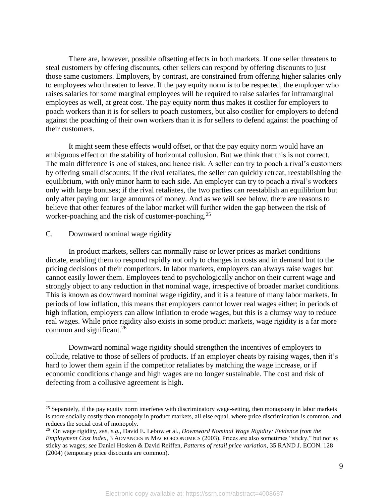There are, however, possible offsetting effects in both markets. If one seller threatens to steal customers by offering discounts, other sellers can respond by offering discounts to just those same customers. Employers, by contrast, are constrained from offering higher salaries only to employees who threaten to leave. If the pay equity norm is to be respected, the employer who raises salaries for some marginal employees will be required to raise salaries for inframarginal employees as well, at great cost. The pay equity norm thus makes it costlier for employers to poach workers than it is for sellers to poach customers, but also costlier for employers to defend against the poaching of their own workers than it is for sellers to defend against the poaching of their customers.

It might seem these effects would offset, or that the pay equity norm would have an ambiguous effect on the stability of horizontal collusion. But we think that this is not correct. The main difference is one of stakes, and hence risk. A seller can try to poach a rival's customers by offering small discounts; if the rival retaliates, the seller can quickly retreat, reestablishing the equilibrium, with only minor harm to each side. An employer can try to poach a rival's workers only with large bonuses; if the rival retaliates, the two parties can reestablish an equilibrium but only after paying out large amounts of money. And as we will see below, there are reasons to believe that other features of the labor market will further widen the gap between the risk of worker-poaching and the risk of customer-poaching.<sup>25</sup>

## C. Downward nominal wage rigidity

 $\overline{a}$ 

In product markets, sellers can normally raise or lower prices as market conditions dictate, enabling them to respond rapidly not only to changes in costs and in demand but to the pricing decisions of their competitors. In labor markets, employers can always raise wages but cannot easily lower them. Employees tend to psychologically anchor on their current wage and strongly object to any reduction in that nominal wage, irrespective of broader market conditions. This is known as downward nominal wage rigidity, and it is a feature of many labor markets. In periods of low inflation, this means that employers cannot lower real wages either; in periods of high inflation, employers can allow inflation to erode wages, but this is a clumsy way to reduce real wages. While price rigidity also exists in some product markets, wage rigidity is a far more common and significant.<sup>26</sup>

Downward nominal wage rigidity should strengthen the incentives of employers to collude, relative to those of sellers of products. If an employer cheats by raising wages, then it's hard to lower them again if the competitor retaliates by matching the wage increase, or if economic conditions change and high wages are no longer sustainable. The cost and risk of defecting from a collusive agreement is high.

<sup>&</sup>lt;sup>25</sup> Separately, if the pay equity norm interferes with discriminatory wage-setting, then monopsony in labor markets is more socially costly than monopoly in product markets, all else equal, where price discrimination is common, and reduces the social cost of monopoly.

<sup>26</sup> On wage rigidity, *see, e.g.*, David E. Lebow et al., *Downward Nominal Wage Rigidity: Evidence from the Employment Cost Index*, 3 ADVANCES IN MACROECONOMICS (2003). Prices are also sometimes "sticky," but not as sticky as wages; *see* Daniel Hosken & David Reiffen, *Patterns of retail price variation*, 35 RAND J. ECON. 128 (2004) (temporary price discounts are common).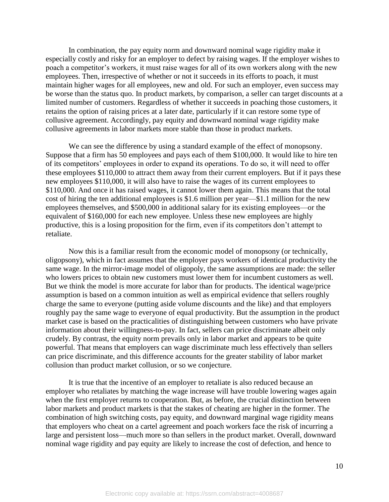In combination, the pay equity norm and downward nominal wage rigidity make it especially costly and risky for an employer to defect by raising wages. If the employer wishes to poach a competitor's workers, it must raise wages for all of its own workers along with the new employees. Then, irrespective of whether or not it succeeds in its efforts to poach, it must maintain higher wages for all employees, new and old. For such an employer, even success may be worse than the status quo. In product markets, by comparison, a seller can target discounts at a limited number of customers. Regardless of whether it succeeds in poaching those customers, it retains the option of raising prices at a later date, particularly if it can restore some type of collusive agreement. Accordingly, pay equity and downward nominal wage rigidity make collusive agreements in labor markets more stable than those in product markets.

We can see the difference by using a standard example of the effect of monopsony. Suppose that a firm has 50 employees and pays each of them \$100,000. It would like to hire ten of its competitors' employees in order to expand its operations. To do so, it will need to offer these employees \$110,000 to attract them away from their current employers. But if it pays these new employees \$110,000, it will also have to raise the wages of its current employees to \$110,000. And once it has raised wages, it cannot lower them again. This means that the total cost of hiring the ten additional employees is \$1.6 million per year—\$1.1 million for the new employees themselves, and \$500,000 in additional salary for its existing employees—or the equivalent of \$160,000 for each new employee. Unless these new employees are highly productive, this is a losing proposition for the firm, even if its competitors don't attempt to retaliate.

Now this is a familiar result from the economic model of monopsony (or technically, oligopsony), which in fact assumes that the employer pays workers of identical productivity the same wage. In the mirror-image model of oligopoly, the same assumptions are made: the seller who lowers prices to obtain new customers must lower them for incumbent customers as well. But we think the model is more accurate for labor than for products. The identical wage/price assumption is based on a common intuition as well as empirical evidence that sellers roughly charge the same to everyone (putting aside volume discounts and the like) and that employers roughly pay the same wage to everyone of equal productivity. But the assumption in the product market case is based on the practicalities of distinguishing between customers who have private information about their willingness-to-pay. In fact, sellers can price discriminate albeit only crudely. By contrast, the equity norm prevails only in labor market and appears to be quite powerful. That means that employers can wage discriminate much less effectively than sellers can price discriminate, and this difference accounts for the greater stability of labor market collusion than product market collusion, or so we conjecture.

It is true that the incentive of an employer to retaliate is also reduced because an employer who retaliates by matching the wage increase will have trouble lowering wages again when the first employer returns to cooperation. But, as before, the crucial distinction between labor markets and product markets is that the stakes of cheating are higher in the former. The combination of high switching costs, pay equity, and downward marginal wage rigidity means that employers who cheat on a cartel agreement and poach workers face the risk of incurring a large and persistent loss—much more so than sellers in the product market. Overall, downward nominal wage rigidity and pay equity are likely to increase the cost of defection, and hence to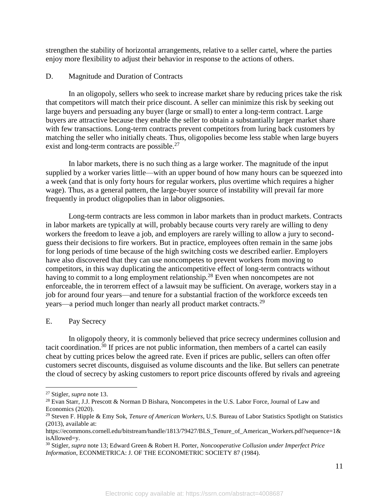strengthen the stability of horizontal arrangements, relative to a seller cartel, where the parties enjoy more flexibility to adjust their behavior in response to the actions of others.

## D. Magnitude and Duration of Contracts

In an oligopoly, sellers who seek to increase market share by reducing prices take the risk that competitors will match their price discount. A seller can minimize this risk by seeking out large buyers and persuading any buyer (large or small) to enter a long-term contract. Large buyers are attractive because they enable the seller to obtain a substantially larger market share with few transactions. Long-term contracts prevent competitors from luring back customers by matching the seller who initially cheats. Thus, oligopolies become less stable when large buyers exist and long-term contracts are possible.<sup>27</sup>

In labor markets, there is no such thing as a large worker. The magnitude of the input supplied by a worker varies little—with an upper bound of how many hours can be squeezed into a week (and that is only forty hours for regular workers, plus overtime which requires a higher wage). Thus, as a general pattern, the large-buyer source of instability will prevail far more frequently in product oligopolies than in labor oligpsonies.

Long-term contracts are less common in labor markets than in product markets. Contracts in labor markets are typically at will, probably because courts very rarely are willing to deny workers the freedom to leave a job, and employers are rarely willing to allow a jury to secondguess their decisions to fire workers. But in practice, employees often remain in the same jobs for long periods of time because of the high switching costs we described earlier. Employers have also discovered that they can use noncompetes to prevent workers from moving to competitors, in this way duplicating the anticompetitive effect of long-term contracts without having to commit to a long employment relationship.<sup>28</sup> Even when noncompetes are not enforceable, the in terorrem effect of a lawsuit may be sufficient. On average, workers stay in a job for around four years—and tenure for a substantial fraction of the workforce exceeds ten years—a period much longer than nearly all product market contracts.<sup>29</sup>

## E. Pay Secrecy

In oligopoly theory, it is commonly believed that price secrecy undermines collusion and tacit coordination.<sup>30</sup> If prices are not public information, then members of a cartel can easily cheat by cutting prices below the agreed rate. Even if prices are public, sellers can often offer customers secret discounts, disguised as volume discounts and the like. But sellers can penetrate the cloud of secrecy by asking customers to report price discounts offered by rivals and agreeing

<sup>27</sup> Stigler, *supra* note 13.

<sup>28</sup> Evan Starr, J.J. Prescott & Norman D Bishara, Noncompetes in the U.S. Labor Force, Journal of Law and Economics (2020).

<sup>29</sup> Steven F. Hipple & Emy Sok, *Tenure of American Workers*, U.S. Bureau of Labor Statistics Spotlight on Statistics (2013), available at:

https://ecommons.cornell.edu/bitstream/handle/1813/79427/BLS\_Tenure\_of\_American\_Workers.pdf?sequence=1& isAllowed=y.

<sup>30</sup> Stigler, *supra* note 13; Edward Green & Robert H. Porter, *Noncooperative Collusion under Imperfect Price Information*, ECONMETRICA: J. OF THE ECONOMETRIC SOCIETY 87 (1984).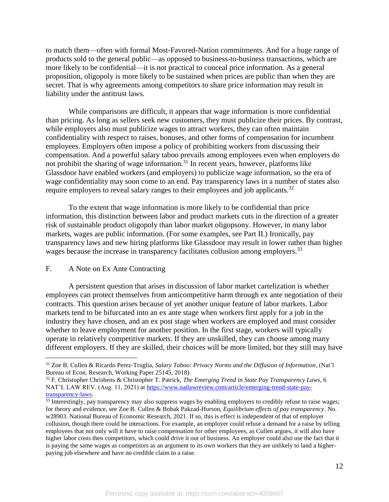to match them—often with formal Most-Favored-Nation commitments. And for a huge range of products sold to the general public—as opposed to business-to-business transactions, which are more likely to be confidential—it is not practical to conceal price information. As a general proposition, oligopoly is more likely to be sustained when prices are public than when they are secret. That is why agreements among competitors to share price information may result in liability under the antitrust laws.

While comparisons are difficult, it appears that wage information is more confidential than pricing. As long as sellers seek new customers, they must publicize their prices. By contrast, while employers also must publicize wages to attract workers, they can often maintain confidentiality with respect to raises, bonuses, and other forms of compensation for incumbent employees. Employers often impose a policy of prohibiting workers from discussing their compensation. And a powerful salary taboo prevails among employees even when employers do not prohibit the sharing of wage information. $31$  In recent years, however, platforms like Glassdoor have enabled workers (and employers) to publicize wage information, so the era of wage confidentiality may soon come to an end. Pay transparency laws in a number of states also require employers to reveal salary ranges to their employees and job applicants.<sup>32</sup>

To the extent that wage information is more likely to be confidential than price information, this distinction between labor and product markets cuts in the direction of a greater risk of sustainable product oligopoly than labor market oligopsony. However, in many labor markets, wages are public information. (For some examples, see Part II.) Ironically, pay transparency laws and new hiring platforms like Glassdoor may result in lower rather than higher wages because the increase in transparency facilitates collusion among employers.<sup>33</sup>

## F. A Note on Ex Ante Contracting

 $\overline{a}$ 

A persistent question that arises in discussion of labor market cartelization is whether employees can protect themselves from anticompetitive harm through ex ante negotiation of their contracts. This question arises because of yet another unique feature of labor markets. Labor markets tend to be bifurcated into an ex ante stage when workers first apply for a job in the industry they have chosen, and an ex post stage when workers are employed and must consider whether to leave employment for another position. In the first stage, workers will typically operate in relatively competitive markets. If they are unskilled, they can choose among many different employers. If they are skilled, their choices will be more limited, but they still may have

<sup>31</sup> Zoe B. Cullen & Ricardo Perez-Truglia, *Salary Taboo: Privacy Norms and the Diffusion of Information*, (Nat'l Bureau of Econ. Research, Working Paper 25145, 2018).

<sup>32</sup> F. Christopher Chrisbens & Christopher T. Patrick, *The Emerging Trend in State Pay Transparency Laws*, 6 NAT'L LAW REV. (Aug. 11, 2021) at [https://www.natlawreview.com/article/emerging-trend-state-pay](https://www.natlawreview.com/article/emerging-trend-state-pay-transparency-laws)[transparency-laws.](https://www.natlawreview.com/article/emerging-trend-state-pay-transparency-laws)

<sup>&</sup>lt;sup>33</sup> Interestingly, pay transparency may also suppress wages by enabling employers to credibly refuse to raise wages; for theory and evidence, see Zoe B. Cullen & Bobak Pakzad-Hurson, *Equilibrium effects of pay transparency*. No. w28903. National Bureau of Economic Research, 2021. If so, this is effect is independent of that of employer collusion, though there could be interactions. For example, an employer could refuse a demand for a raise by telling employees that not only will it have to raise compensation for other employees, as Cullen argues, it will also have higher labor costs then competitors, which could drive it out of business. An employer could also use the fact that it is paying the same wages as competitors as an argument to its own workers that they are unlikely to land a higherpaying job elsewhere and have no credible claim to a raise.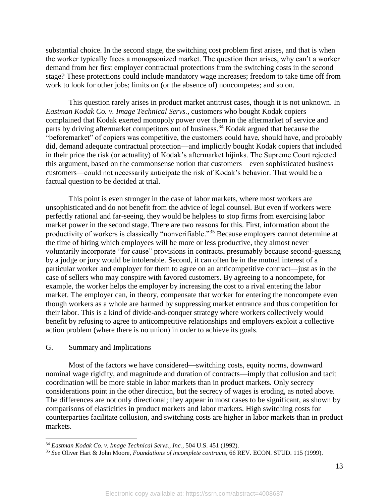substantial choice. In the second stage, the switching cost problem first arises, and that is when the worker typically faces a monopsonized market. The question then arises, why can't a worker demand from her first employer contractual protections from the switching costs in the second stage? These protections could include mandatory wage increases; freedom to take time off from work to look for other jobs; limits on (or the absence of) noncompetes; and so on.

This question rarely arises in product market antitrust cases, though it is not unknown. In *Eastman Kodak Co. v. Image Technical Servs.*, customers who bought Kodak copiers complained that Kodak exerted monopoly power over them in the aftermarket of service and parts by driving aftermarket competitors out of business.<sup>34</sup> Kodak argued that because the "beforemarket" of copiers was competitive, the customers could have, should have, and probably did, demand adequate contractual protection—and implicitly bought Kodak copiers that included in their price the risk (or actuality) of Kodak's aftermarket hijinks. The Supreme Court rejected this argument, based on the commonsense notion that customers—even sophisticated business customers—could not necessarily anticipate the risk of Kodak's behavior. That would be a factual question to be decided at trial.

This point is even stronger in the case of labor markets, where most workers are unsophisticated and do not benefit from the advice of legal counsel. But even if workers were perfectly rational and far-seeing, they would be helpless to stop firms from exercising labor market power in the second stage. There are two reasons for this. First, information about the productivity of workers is classically "nonverifiable."<sup>35</sup> Because employers cannot determine at the time of hiring which employees will be more or less productive, they almost never voluntarily incorporate "for cause" provisions in contracts, presumably because second-guessing by a judge or jury would be intolerable. Second, it can often be in the mutual interest of a particular worker and employer for them to agree on an anticompetitive contract—just as in the case of sellers who may conspire with favored customers. By agreeing to a noncompete, for example, the worker helps the employer by increasing the cost to a rival entering the labor market. The employer can, in theory, compensate that worker for entering the noncompete even though workers as a whole are harmed by suppressing market entrance and thus competition for their labor. This is a kind of divide-and-conquer strategy where workers collectively would benefit by refusing to agree to anticompetitive relationships and employers exploit a collective action problem (where there is no union) in order to achieve its goals.

### G. Summary and Implications

 $\overline{a}$ 

Most of the factors we have considered—switching costs, equity norms, downward nominal wage rigidity, and magnitude and duration of contracts—imply that collusion and tacit coordination will be more stable in labor markets than in product markets. Only secrecy considerations point in the other direction, but the secrecy of wages is eroding, as noted above. The differences are not only directional; they appear in most cases to be significant, as shown by comparisons of elasticities in product markets and labor markets. High switching costs for counterparties facilitate collusion, and switching costs are higher in labor markets than in product markets.

<sup>34</sup> *Eastman Kodak Co. v. Image Technical Servs., Inc.*, 504 U.S. 451 (1992).

<sup>35</sup> *See* Oliver Hart & John Moore, *Foundations of incomplete contracts*, 66 REV. ECON. STUD. 115 (1999).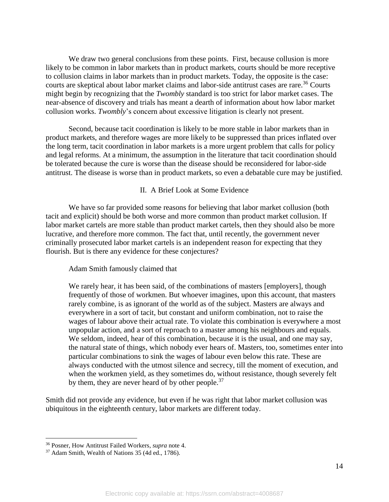We draw two general conclusions from these points. First, because collusion is more likely to be common in labor markets than in product markets, courts should be more receptive to collusion claims in labor markets than in product markets. Today, the opposite is the case: courts are skeptical about labor market claims and labor-side antitrust cases are rare.<sup>36</sup> Courts might begin by recognizing that the *Twombly* standard is too strict for labor market cases. The near-absence of discovery and trials has meant a dearth of information about how labor market collusion works. *Twombly*'s concern about excessive litigation is clearly not present.

Second, because tacit coordination is likely to be more stable in labor markets than in product markets, and therefore wages are more likely to be suppressed than prices inflated over the long term, tacit coordination in labor markets is a more urgent problem that calls for policy and legal reforms. At a minimum, the assumption in the literature that tacit coordination should be tolerated because the cure is worse than the disease should be reconsidered for labor-side antitrust. The disease is worse than in product markets, so even a debatable cure may be justified.

### II. A Brief Look at Some Evidence

We have so far provided some reasons for believing that labor market collusion (both tacit and explicit) should be both worse and more common than product market collusion. If labor market cartels are more stable than product market cartels, then they should also be more lucrative, and therefore more common. The fact that, until recently, the government never criminally prosecuted labor market cartels is an independent reason for expecting that they flourish. But is there any evidence for these conjectures?

### Adam Smith famously claimed that

We rarely hear, it has been said, of the combinations of masters [employers], though frequently of those of workmen. But whoever imagines, upon this account, that masters rarely combine, is as ignorant of the world as of the subject. Masters are always and everywhere in a sort of tacit, but constant and uniform combination, not to raise the wages of labour above their actual rate. To violate this combination is everywhere a most unpopular action, and a sort of reproach to a master among his neighbours and equals. We seldom, indeed, hear of this combination, because it is the usual, and one may say, the natural state of things, which nobody ever hears of. Masters, too, sometimes enter into particular combinations to sink the wages of labour even below this rate. These are always conducted with the utmost silence and secrecy, till the moment of execution, and when the workmen yield, as they sometimes do, without resistance, though severely felt by them, they are never heard of by other people.  $37$ 

Smith did not provide any evidence, but even if he was right that labor market collusion was ubiquitous in the eighteenth century, labor markets are different today.

<sup>36</sup> Posner, How Antitrust Failed Workers, *supra* note 4.

<sup>37</sup> Adam Smith, Wealth of Nations 35 (4d ed., 1786).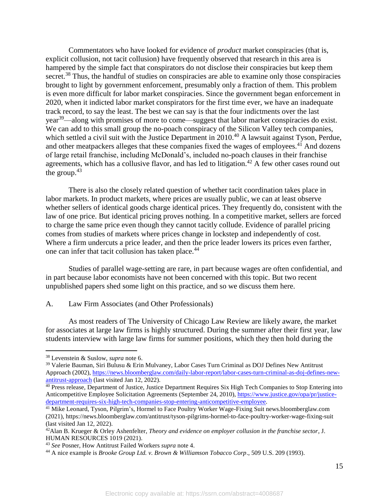Commentators who have looked for evidence of *product* market conspiracies (that is, explicit collusion, not tacit collusion) have frequently observed that research in this area is hampered by the simple fact that conspirators do not disclose their conspiracies but keep them secret.<sup>38</sup> Thus, the handful of studies on conspiracies are able to examine only those conspiracies brought to light by government enforcement, presumably only a fraction of them. This problem is even more difficult for labor market conspiracies. Since the government began enforcement in 2020, when it indicted labor market conspirators for the first time ever, we have an inadequate track record, to say the least. The best we can say is that the four indictments over the last year<sup>39</sup>—along with promises of more to come—suggest that labor market conspiracies do exist. We can add to this small group the no-poach conspiracy of the Silicon Valley tech companies, which settled a civil suit with the Justice Department in 2010.<sup>40</sup> A lawsuit against Tyson, Perdue, and other meatpackers alleges that these companies fixed the wages of employees.<sup>41</sup> And dozens of large retail franchise, including McDonald's, included no-poach clauses in their franchise agreements, which has a collusive flavor, and has led to litigation.<sup>42</sup> A few other cases round out the group. $43$ 

There is also the closely related question of whether tacit coordination takes place in labor markets. In product markets, where prices are usually public, we can at least observe whether sellers of identical goods charge identical prices. They frequently do, consistent with the law of one price. But identical pricing proves nothing. In a competitive market, sellers are forced to charge the same price even though they cannot tacitly collude. Evidence of parallel pricing comes from studies of markets where prices change in lockstep and independently of cost. Where a firm undercuts a price leader, and then the price leader lowers its prices even farther, one can infer that tacit collusion has taken place.<sup>44</sup>

Studies of parallel wage-setting are rare, in part because wages are often confidential, and in part because labor economists have not been concerned with this topic. But two recent unpublished papers shed some light on this practice, and so we discuss them here.

## A. Law Firm Associates (and Other Professionals)

As most readers of The University of Chicago Law Review are likely aware, the market for associates at large law firms is highly structured. During the summer after their first year, law students interview with large law firms for summer positions, which they then hold during the

<sup>38</sup> Levenstein & Suslow, *supra* note 6.

<sup>39</sup> Valerie Bauman, Siri Bulusu & Erin Mulvaney, Labor Cases Turn Criminal as DOJ Defines New Antitrust Approach (2002), [https://news.bloomberglaw.com/daily-labor-report/labor-cases-turn-criminal-as-doj-defines-new](https://news.bloomberglaw.com/daily-labor-report/labor-cases-turn-criminal-as-doj-defines-new-antitrust-approach)[antitrust-approach](https://news.bloomberglaw.com/daily-labor-report/labor-cases-turn-criminal-as-doj-defines-new-antitrust-approach) (last visited Jan 12, 2022).

<sup>&</sup>lt;sup>40</sup> Press release, Department of Justice, Justice Department Requires Six High Tech Companies to Stop Entering into Anticompetitive Employee Solicitation Agreements (September 24, 2010), [https://www.justice.gov/opa/pr/justice](https://www.justice.gov/opa/pr/justice-department-requires-six-high-tech-companies-stop-entering-anticompetitive-employee)[department-requires-six-high-tech-companies-stop-entering-anticompetitive-employee.](https://www.justice.gov/opa/pr/justice-department-requires-six-high-tech-companies-stop-entering-anticompetitive-employee)

<sup>&</sup>lt;sup>41</sup> Mike Leonard, Tyson, Pilgrim's, Hormel to Face Poultry Worker Wage-Fixing Suit news.bloomberglaw.com (2021), https://news.bloomberglaw.com/antitrust/tyson-pilgrims-hormel-to-face-poultry-worker-wage-fixing-suit (last visited Jan 12, 2022).

<sup>42</sup>Alan B. Krueger & Orley Ashenfelter, *Theory and evidence on employer collusion in the franchise sector*, J. HUMAN RESOURCES 1019 (2021).

<sup>43</sup> *See* Posner, How Antitrust Failed Workers *supra* note 4.

<sup>44</sup> A nice example is *Brooke Group Ltd. v. Brown & Williamson Tobacco Corp*., 509 U.S. 209 (1993).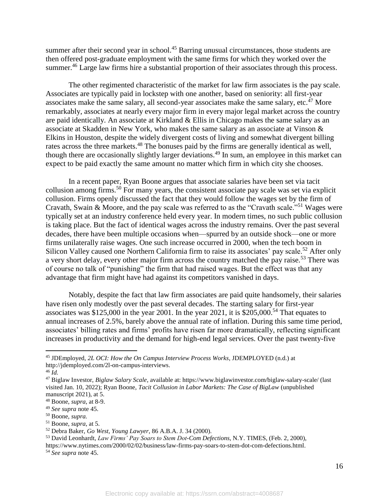summer after their second year in school.<sup>45</sup> Barring unusual circumstances, those students are then offered post-graduate employment with the same firms for which they worked over the summer.<sup>46</sup> Large law firms hire a substantial proportion of their associates through this process.

The other regimented characteristic of the market for law firm associates is the pay scale. Associates are typically paid in lockstep with one another, based on seniority: all first-year associates make the same salary, all second-year associates make the same salary, etc. $47$  More remarkably, associates at nearly every major firm in every major legal market across the country are paid identically. An associate at Kirkland & Ellis in Chicago makes the same salary as an associate at Skadden in New York, who makes the same salary as an associate at Vinson & Elkins in Houston, despite the widely divergent costs of living and somewhat divergent billing rates across the three markets.<sup>48</sup> The bonuses paid by the firms are generally identical as well, though there are occasionally slightly larger deviations.<sup>49</sup> In sum, an employee in this market can expect to be paid exactly the same amount no matter which firm in which city she chooses.

In a recent paper, Ryan Boone argues that associate salaries have been set via tacit collusion among firms.<sup>50</sup> For many years, the consistent associate pay scale was set via explicit collusion. Firms openly discussed the fact that they would follow the wages set by the firm of Cravath, Swain & Moore, and the pay scale was referred to as the "Cravath scale."<sup>51</sup> Wages were typically set at an industry conference held every year. In modern times, no such public collusion is taking place. But the fact of identical wages across the industry remains. Over the past several decades, there have been multiple occasions when—spurred by an outside shock—one or more firms unilaterally raise wages. One such increase occurred in 2000, when the tech boom in Silicon Valley caused one Northern California firm to raise its associates' pay scale.<sup>52</sup> After only a very short delay, every other major firm across the country matched the pay raise.<sup>53</sup> There was of course no talk of "punishing" the firm that had raised wages. But the effect was that any advantage that firm might have had against its competitors vanished in days.

Notably, despite the fact that law firm associates are paid quite handsomely, their salaries have risen only modestly over the past several decades. The starting salary for first-year associates was  $$125,000$  in the year 2001. In the year 2021, it is  $$205,000$ <sup>54</sup> That equates to annual increases of 2.5%, barely above the annual rate of inflation. During this same time period, associates' billing rates and firms' profits have risen far more dramatically, reflecting significant increases in productivity and the demand for high-end legal services. Over the past twenty-five

<sup>45</sup> JDEmployed, *2L OCI: How the On Campus Interview Process Works*, JDEMPLOYED (n.d.) at http://jdemployed.com/2l-on-campus-interviews.

<sup>46</sup> *Id.*

<sup>47</sup> Biglaw Investor, *Biglaw Salary Scale*, available at: https://www.biglawinvestor.com/biglaw-salary-scale/ (last visited Jan. 10, 2022); Ryan Boone, *Tacit Collusion in Labor Markets: The Case of BigLaw* (unpublished manuscript 2021), at 5.

<sup>48</sup> Boone, *supra*, at 8-9.

<sup>49</sup> *See supra* note 45.

<sup>50</sup> Boone, *supra.*

<sup>51</sup> Boone, *supra*, at 5.

<sup>52</sup> Debra Baker, *Go West, Young Lawyer*, 86 A.B.A. J. 34 (2000).

<sup>53</sup> David Leonhardt, *Law Firms' Pay Soars to Stem Dot-Com Defections*, N.Y. TIMES, (Feb. 2, 2000),

https://www.nytimes.com/2000/02/02/business/law-firms-pay-soars-to-stem-dot-com-defections.html. <sup>54</sup> *See supra* note 45.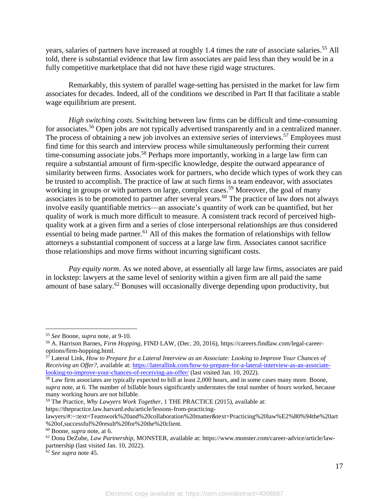years, salaries of partners have increased at roughly 1.4 times the rate of associate salaries.<sup>55</sup> All told, there is substantial evidence that law firm associates are paid less than they would be in a fully competitive marketplace that did not have these rigid wage structures.

Remarkably, this system of parallel wage-setting has persisted in the market for law firm associates for decades. Indeed, all of the conditions we described in Part II that facilitate a stable wage equilibrium are present.

*High switching costs.* Switching between law firms can be difficult and time-consuming for associates.<sup>56</sup> Open jobs are not typically advertised transparently and in a centralized manner. The process of obtaining a new job involves an extensive series of interviews.<sup>57</sup> Employees must find time for this search and interview process while simultaneously performing their current time-consuming associate jobs.<sup>58</sup> Perhaps more importantly, working in a large law firm can require a substantial amount of firm-specific knowledge, despite the outward appearance of similarity between firms. Associates work for partners, who decide which types of work they can be trusted to accomplish. The practice of law at such firms is a team endeavor, with associates working in groups or with partners on large, complex cases.<sup>59</sup> Moreover, the goal of many associates is to be promoted to partner after several years.<sup>60</sup> The practice of law does not always involve easily quantifiable metrics—an associate's quantity of work can be quantified, but her quality of work is much more difficult to measure. A consistent track record of perceived highquality work at a given firm and a series of close interpersonal relationships are thus considered essential to being made partner.<sup>61</sup> All of this makes the formation of relationships with fellow attorneys a substantial component of success at a large law firm. Associates cannot sacrifice those relationships and move firms without incurring significant costs.

*Pay equity norm*. As we noted above, at essentially all large law firms, associates are paid in lockstep: lawyers at the same level of seniority within a given firm are all paid the same amount of base salary.<sup>62</sup> Bonuses will occasionally diverge depending upon productivity, but

 $\overline{a}$ 

https://thepractice.law.harvard.edu/article/lessons-from-practicing-

<sup>55</sup> *See* Boone, *supra* note, at 9-10.

<sup>56</sup> A. Harrison Barnes, *Firm Hopping*, FIND LAW, (Dec. 20, 2016), https://careers.findlaw.com/legal-careeroptions/firm-hopping.html.

<sup>57</sup> Lateral Link, *How to Prepare for a Lateral Interview as an Associate: Looking to Improve Your Chances of Receiving an Offer?*, available at[: https://laterallink.com/how-to-prepare-for-a-lateral-interview-as-an-associate](https://laterallink.com/how-to-prepare-for-a-lateral-interview-as-an-associate-looking-to-improve-your-chances-of-receiving-an-offer/)[looking-to-improve-your-chances-of-receiving-an-offer/](https://laterallink.com/how-to-prepare-for-a-lateral-interview-as-an-associate-looking-to-improve-your-chances-of-receiving-an-offer/) (last visited Jan. 10, 2022).

<sup>58</sup> Law firm associates are typically expected to bill at least 2,000 hours, and in some cases many more. Boone, *supra* note, at 6. The number of billable hours significantly understates the total number of hours worked, because many working hours are not billable.

<sup>59</sup> The Practice, *Why Lawyers Work Together*, 1 THE PRACTICE (2015), available at:

lawyers/#:~:text=Teamwork%20and%20collaboration%20matter&text=Practicing%20law%E2%80%94the%20art %20of,successful%20result%20for%20the%20client.

<sup>60</sup> Boone, *supra* note, at 6.

<sup>61</sup> Dona DeZube, *Law Partnership*, MONSTER, available at: https://www.monster.com/career-advice/article/lawpartnership (last visited Jan. 10, 2022).

<sup>62</sup> *See supra* note 45.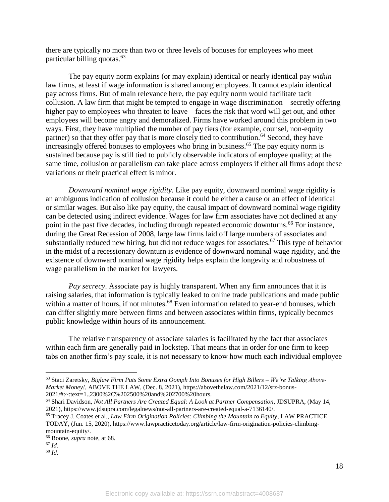there are typically no more than two or three levels of bonuses for employees who meet particular billing quotas.<sup>63</sup>

The pay equity norm explains (or may explain) identical or nearly identical pay *within* law firms, at least if wage information is shared among employees. It cannot explain identical pay across firms. But of main relevance here, the pay equity norm would facilitate tacit collusion. A law firm that might be tempted to engage in wage discrimination—secretly offering higher pay to employees who threaten to leave—faces the risk that word will get out, and other employees will become angry and demoralized. Firms have worked around this problem in two ways. First, they have multiplied the number of pay tiers (for example, counsel, non-equity partner) so that they offer pay that is more closely tied to contribution.<sup>64</sup> Second, they have increasingly offered bonuses to employees who bring in business.<sup>65</sup> The pay equity norm is sustained because pay is still tied to publicly observable indicators of employee quality; at the same time, collusion or parallelism can take place across employers if either all firms adopt these variations or their practical effect is minor.

*Downward nominal wage rigidity*. Like pay equity, downward nominal wage rigidity is an ambiguous indication of collusion because it could be either a cause or an effect of identical or similar wages. But also like pay equity, the causal impact of downward nominal wage rigidity can be detected using indirect evidence. Wages for law firm associates have not declined at any point in the past five decades, including through repeated economic downturns.<sup>66</sup> For instance, during the Great Recession of 2008, large law firms laid off large numbers of associates and substantially reduced new hiring, but did not reduce wages for associates.<sup>67</sup> This type of behavior in the midst of a recessionary downturn is evidence of downward nominal wage rigidity, and the existence of downward nominal wage rigidity helps explain the longevity and robustness of wage parallelism in the market for lawyers.

*Pay secrecy*. Associate pay is highly transparent. When any firm announces that it is raising salaries, that information is typically leaked to online trade publications and made public within a matter of hours, if not minutes.<sup>68</sup> Even information related to year-end bonuses, which can differ slightly more between firms and between associates within firms, typically becomes public knowledge within hours of its announcement.

The relative transparency of associate salaries is facilitated by the fact that associates within each firm are generally paid in lockstep. That means that in order for one firm to keep tabs on another firm's pay scale, it is not necessary to know how much each individual employee

 $\overline{a}$ 

<sup>68</sup> *Id.*

<sup>63</sup> Staci Zaretsky, *Biglaw Firm Puts Some Extra Oomph Into Bonuses for High Billers – We're Talking Above-Market Money!*, ABOVE THE LAW, (Dec. 8, 2021), https://abovethelaw.com/2021/12/srz-bonus-2021/#:~:text=1.,2300%2C%202500%20and%202700%20hours.

<sup>64</sup> Shari Davidson, *Not All Partners Are Created Equal: A Look at Partner Compensation*, JDSUPRA, (May 14, 2021), https://www.jdsupra.com/legalnews/not-all-partners-are-created-equal-a-7136140/.

<sup>65</sup> Tracey J. Coates et al., *Law Firm Origination Policies: Climbing the Mountain to Equity*, LAW PRACTICE TODAY, (Jun. 15, 2020), https://www.lawpracticetoday.org/article/law-firm-origination-policies-climbingmountain-equity/.

<sup>66</sup> Boone, *supra* note, at 68.

<sup>67</sup> *Id.*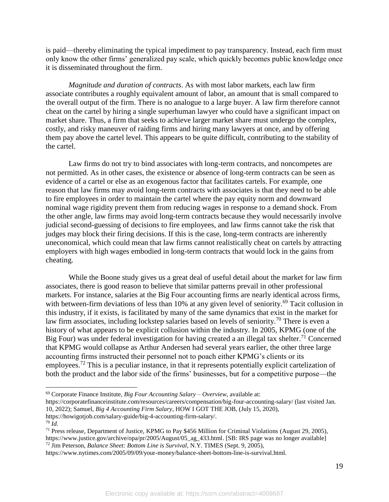is paid—thereby eliminating the typical impediment to pay transparency. Instead, each firm must only know the other firms' generalized pay scale, which quickly becomes public knowledge once it is disseminated throughout the firm.

*Magnitude and duration of contracts*. As with most labor markets, each law firm associate contributes a roughly equivalent amount of labor, an amount that is small compared to the overall output of the firm. There is no analogue to a large buyer. A law firm therefore cannot cheat on the cartel by hiring a single superhuman lawyer who could have a significant impact on market share. Thus, a firm that seeks to achieve larger market share must undergo the complex, costly, and risky maneuver of raiding firms and hiring many lawyers at once, and by offering them pay above the cartel level. This appears to be quite difficult, contributing to the stability of the cartel.

Law firms do not try to bind associates with long-term contracts, and noncompetes are not permitted. As in other cases, the existence or absence of long-term contracts can be seen as evidence of a cartel or else as an exogenous factor that facilitates cartels. For example, one reason that law firms may avoid long-term contracts with associates is that they need to be able to fire employees in order to maintain the cartel where the pay equity norm and downward nominal wage rigidity prevent them from reducing wages in response to a demand shock. From the other angle, law firms may avoid long-term contracts because they would necessarily involve judicial second-guessing of decisions to fire employees, and law firms cannot take the risk that judges may block their firing decisions. If this is the case, long-term contracts are inherently uneconomical, which could mean that law firms cannot realistically cheat on cartels by attracting employers with high wages embodied in long-term contracts that would lock in the gains from cheating.

While the Boone study gives us a great deal of useful detail about the market for law firm associates, there is good reason to believe that similar patterns prevail in other professional markets. For instance, salaries at the Big Four accounting firms are nearly identical across firms, with between-firm deviations of less than 10% at any given level of seniority.<sup>69</sup> Tacit collusion in this industry, if it exists, is facilitated by many of the same dynamics that exist in the market for law firm associates, including lockstep salaries based on levels of seniority.<sup>70</sup> There is even a history of what appears to be explicit collusion within the industry. In 2005, KPMG (one of the Big Four) was under federal investigation for having created a an illegal tax shelter.<sup>71</sup> Concerned that KPMG would collapse as Arthur Andersen had several years earlier, the other three large accounting firms instructed their personnel not to poach either KPMG's clients or its employees.<sup>72</sup> This is a peculiar instance, in that it represents potentially explicit cartelization of both the product and the labor side of the firms' businesses, but for a competitive purpose—the

<sup>69</sup> Corporate Finance Institute, *Big Four Accounting Salary – Overview*, available at:

https://corporatefinanceinstitute.com/resources/careers/compensation/big-four-accounting-salary/ (last visited Jan. 10, 2022); Samuel, *Big 4 Accounting Firm Salary*, HOW I GOT THE JOB, (July 15, 2020), https://howigotjob.com/salary-guide/big-4-accounting-firm-salary/.

<sup>70</sup> *Id.*

<sup>71</sup> Press release, Department of Justice, KPMG to Pay \$456 Million for Criminal Violations (August 29, 2005), https://www.justice.gov/archive/opa/pr/2005/August/05\_ag\_433.html. [SB: IRS page was no longer available] <sup>72</sup> Jim Peterson, *Balance Sheet: Bottom Line is Survival*, N.Y. TIMES (Sept. 9, 2005),

https://www.nytimes.com/2005/09/09/your-money/balance-sheet-bottom-line-is-survival.html.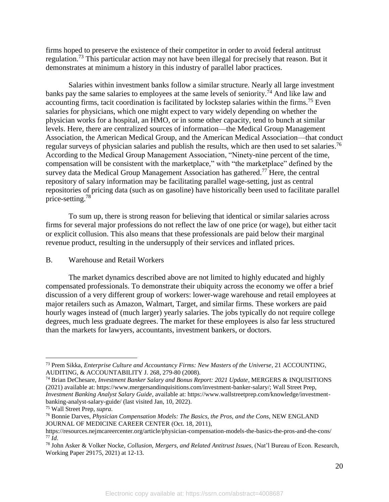firms hoped to preserve the existence of their competitor in order to avoid federal antitrust regulation.<sup>73</sup> This particular action may not have been illegal for precisely that reason. But it demonstrates at minimum a history in this industry of parallel labor practices.

Salaries within investment banks follow a similar structure. Nearly all large investment banks pay the same salaries to employees at the same levels of seniority.<sup>74</sup> And like law and accounting firms, tacit coordination is facilitated by lockstep salaries within the firms.<sup>75</sup> Even salaries for physicians, which one might expect to vary widely depending on whether the physician works for a hospital, an HMO, or in some other capacity, tend to bunch at similar levels. Here, there are centralized sources of information—the Medical Group Management Association, the American Medical Group, and the American Medical Association—that conduct regular surveys of physician salaries and publish the results, which are then used to set salaries.<sup>76</sup> According to the Medical Group Management Association, "Ninety-nine percent of the time, compensation will be consistent with the marketplace," with "the marketplace" defined by the survey data the Medical Group Management Association has gathered.<sup>77</sup> Here, the central repository of salary information may be facilitating parallel wage-setting, just as central repositories of pricing data (such as on gasoline) have historically been used to facilitate parallel price-setting.<sup>78</sup>

To sum up, there is strong reason for believing that identical or similar salaries across firms for several major professions do not reflect the law of one price (or wage), but either tacit or explicit collusion. This also means that these professionals are paid below their marginal revenue product, resulting in the undersupply of their services and inflated prices.

### B. Warehouse and Retail Workers

The market dynamics described above are not limited to highly educated and highly compensated professionals. To demonstrate their ubiquity across the economy we offer a brief discussion of a very different group of workers: lower-wage warehouse and retail employees at major retailers such as Amazon, Walmart, Target, and similar firms. These workers are paid hourly wages instead of (much larger) yearly salaries. The jobs typically do not require college degrees, much less graduate degrees. The market for these employees is also far less structured than the markets for lawyers, accountants, investment bankers, or doctors.

<sup>73</sup> Prem Sikka, *Enterprise Culture and Accountancy Firms: New Masters of the Universe*, 21 ACCOUNTING, AUDITING, & ACCOUNTABILITY J. 268, 279-80 (2008).

<sup>74</sup> Brian DeChesare, *Investment Banker Salary and Bonus Report: 2021 Update*, MERGERS & INQUISITIONS (2021) available at: https://www.mergersandinquisitions.com/investment-banker-salary/; Wall Street Prep, *Investment Banking Analyst Salary Guide*, available at: https://www.wallstreetprep.com/knowledge/investmentbanking-analyst-salary-guide/ (last visited Jan, 10, 2022).

<sup>75</sup> Wall Street Prep, *supra*.

<sup>76</sup> Bonnie Darves, *Physician Compensation Models: The Basics, the Pros, and the Cons*, NEW ENGLAND JOURNAL OF MEDICINE CAREER CENTER (Oct. 18, 2011),

https://resources.nejmcareercenter.org/article/physician-compensation-models-the-basics-the-pros-and-the-cons/ <sup>77</sup> *Id*.

<sup>78</sup> John Asker & Volker Nocke, *Collusion, Mergers, and Related Antitrust Issues*, (Nat'l Bureau of Econ. Research, Working Paper 29175, 2021) at 12-13.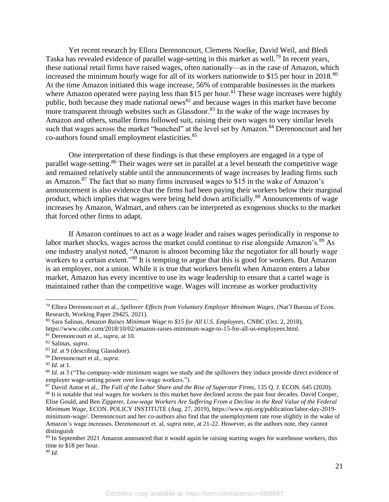Yet recent research by Ellora Derenoncourt, Clemens Noelke, David Weil, and Bledi Taska has revealed evidence of parallel wage-setting in this market as well.<sup>79</sup> In recent years, these national retail firms have raised wages, often nationally—as in the case of Amazon, which increased the minimum hourly wage for all of its workers nationwide to \$15 per hour in 2018.<sup>80</sup> At the time Amazon initiated this wage increase, 56% of comparable businesses in the markets where Amazon operated were paying less than \$15 per hour.<sup>81</sup> These wage increases were highly public, both because they made national news<sup>82</sup> and because wages in this market have become more transparent through websites such as Glassdoor.<sup>83</sup> In the wake of the wage increases by Amazon and others, smaller firms followed suit, raising their own wages to very similar levels such that wages across the market "bunched" at the level set by Amazon.<sup>84</sup> Derenoncourt and her co-authors found small employment elasticities.<sup>85</sup>

One interpretation of these findings is that these employers are engaged in a type of parallel wage-setting.<sup>86</sup> Their wages were set in parallel at a level beneath the competitive wage and remained relatively stable until the announcements of wage increases by leading firms such as Amazon.<sup>87</sup> The fact that so many firms increased wages to \$15 in the wake of Amazon's announcement is also evidence that the firms had been paying their workers below their marginal product, which implies that wages were being held down artificially.<sup>88</sup> Announcements of wage increases by Amazon, Walmart, and others can be interpreted as exogenous shocks to the market that forced other firms to adapt.

If Amazon continues to act as a wage leader and raises wages periodically in response to labor market shocks, wages across the market could continue to rise alongside Amazon's.<sup>89</sup> As one industry analyst noted, "Amazon is almost becoming like the negotiator for all hourly wage workers to a certain extent."<sup>90</sup> It is tempting to argue that this is good for workers. But Amazon is an employer, not a union. While it is true that workers benefit when Amazon enters a labor market, Amazon has every incentive to use its wage leadership to ensure that a cartel wage is maintained rather than the competitive wage. Wages will increase as worker productivity

<sup>79</sup> Ellora Derenoncourt et al., *Spillover Effects from Voluntary Employer Minimum Wages*, (Nat'l Bureau of Econ. Research, Working Paper 29425, 2021).

<sup>80</sup> Sara Salinas, *Amazon Raises Minimum Wage to \$15 for All U.S. Employees*, CNBC (Oct. 2, 2018), https://www.cnbc.com/2018/10/02/amazon-raises-minimum-wage-to-15-for-all-us-employees.html.

<sup>81</sup> Derenoncourt et al., *supra*, at 10.

<sup>82</sup> Salinas, *supra*.

<sup>83</sup> *Id.* at 9 (describing Glassdoor).

<sup>84</sup> Derenoncourt et al., *supra*.

<sup>85</sup> *Id.* at 1.

<sup>86</sup> *Id.* at 3 ("The company-wide minimum wages we study and the spillovers they induce provide direct evidence of employer wage-setting power over low-wage workers.").

<sup>87</sup> David Autor et al., *The Fall of the Labor Share and the Rise of Superstar Firms*, 135 Q. J. ECON. 645 (2020). <sup>88</sup> It is notable that real wages for workers in this market have declined across the past four decades. David Cooper, Elise Gould, and Ben Zipperer, *Low-wage Workers Are Suffering From a Decline in the Real Value of the Federal Minimum Wage*, ECON. POLICY INSTITUTE (Aug. 27, 2019), https://www.epi.org/publication/labor-day-2019 minimum-wage/. Derenoncourt and her co-authors also find that the unemployment rate rose slightly in the wake of Amazon's wage increases. Derenoncourt et. al, *supra* note, at 21-22. However, as the authors note, they cannot distinguish

<sup>&</sup>lt;sup>89</sup> In September 2021 Amazon announced that it would again be raising starting wages for warehouse workers, this time to \$18 per hour.

<sup>90</sup> *Id.*